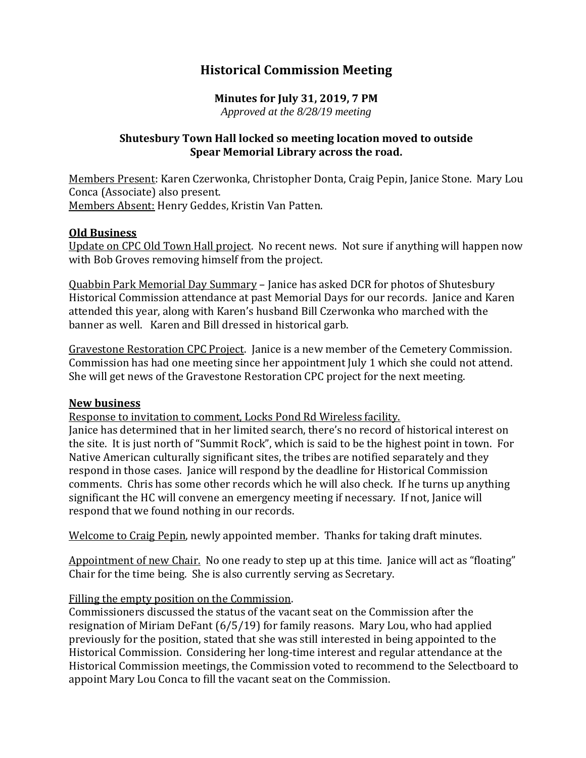# **Historical Commission Meeting**

#### **Minutes for July 31, 2019, 7 PM** *Approved at the 8/28/19 meeting*

## **Shutesbury Town Hall locked so meeting location moved to outside Spear Memorial Library across the road.**

Members Present: Karen Czerwonka, Christopher Donta, Craig Pepin, Janice Stone. Mary Lou Conca (Associate) also present. Members Absent: Henry Geddes, Kristin Van Patten.

#### **Old Business**

Update on CPC Old Town Hall project. No recent news. Not sure if anything will happen now with Bob Groves removing himself from the project.

Quabbin Park Memorial Day Summary – Janice has asked DCR for photos of Shutesbury Historical Commission attendance at past Memorial Days for our records. Janice and Karen attended this year, along with Karen's husband Bill Czerwonka who marched with the banner as well. Karen and Bill dressed in historical garb.

Gravestone Restoration CPC Project. Janice is a new member of the Cemetery Commission. Commission has had one meeting since her appointment July 1 which she could not attend. She will get news of the Gravestone Restoration CPC project for the next meeting.

#### **New business**

Response to invitation to comment, Locks Pond Rd Wireless facility.

Janice has determined that in her limited search, there's no record of historical interest on the site. It is just north of "Summit Rock", which is said to be the highest point in town. For Native American culturally significant sites, the tribes are notified separately and they respond in those cases. Janice will respond by the deadline for Historical Commission comments. Chris has some other records which he will also check. If he turns up anything significant the HC will convene an emergency meeting if necessary. If not, Janice will respond that we found nothing in our records.

Welcome to Craig Pepin, newly appointed member. Thanks for taking draft minutes.

Appointment of new Chair. No one ready to step up at this time. Janice will act as "floating" Chair for the time being. She is also currently serving as Secretary.

### Filling the empty position on the Commission.

Commissioners discussed the status of the vacant seat on the Commission after the resignation of Miriam DeFant (6/5/19) for family reasons. Mary Lou, who had applied previously for the position, stated that she was still interested in being appointed to the Historical Commission. Considering her long-time interest and regular attendance at the Historical Commission meetings, the Commission voted to recommend to the Selectboard to appoint Mary Lou Conca to fill the vacant seat on the Commission.